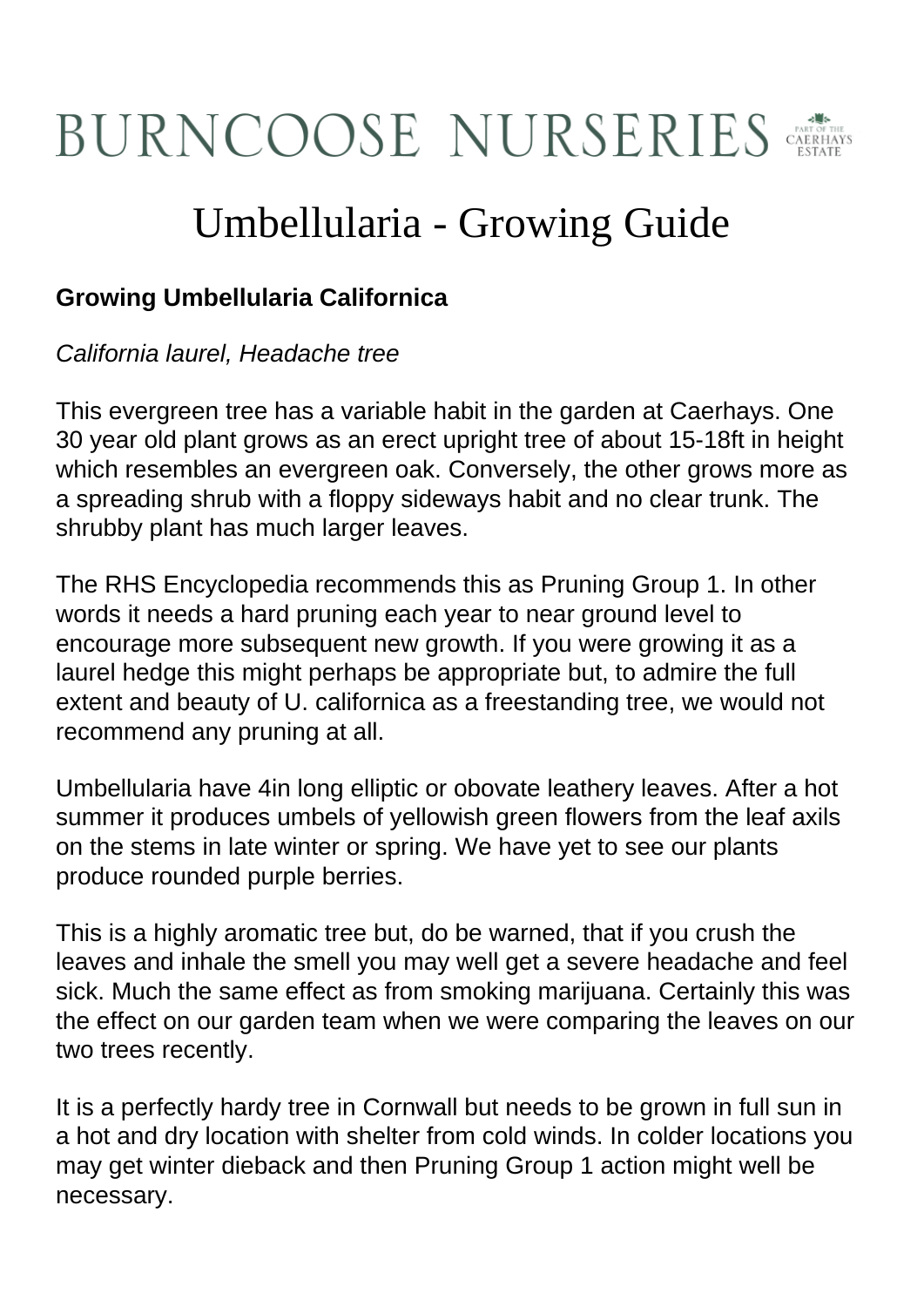## BURNCOOSE NURSERIES

## Umbellularia - Growing Guide

## **Growing Umbellularia Californica**

## California laurel, Headache tree

This evergreen tree has a variable habit in the garden at Caerhays. One 30 year old plant grows as an erect upright tree of about 15-18ft in height which resembles an evergreen oak. Conversely, the other grows more as a spreading shrub with a floppy sideways habit and no clear trunk. The shrubby plant has much larger leaves.

The RHS Encyclopedia recommends this as Pruning Group 1. In other words it needs a hard pruning each year to near ground level to encourage more subsequent new growth. If you were growing it as a laurel hedge this might perhaps be appropriate but, to admire the full extent and beauty of U. californica as a freestanding tree, we would not recommend any pruning at all.

Umbellularia have 4in long elliptic or obovate leathery leaves. After a hot summer it produces umbels of yellowish green flowers from the leaf axils on the stems in late winter or spring. We have yet to see our plants produce rounded purple berries.

This is a highly aromatic tree but, do be warned, that if you crush the leaves and inhale the smell you may well get a severe headache and feel sick. Much the same effect as from smoking marijuana. Certainly this was the effect on our garden team when we were comparing the leaves on our two trees recently.

It is a perfectly hardy tree in Cornwall but needs to be grown in full sun in a hot and dry location with shelter from cold winds. In colder locations you may get winter dieback and then Pruning Group 1 action might well be necessary.